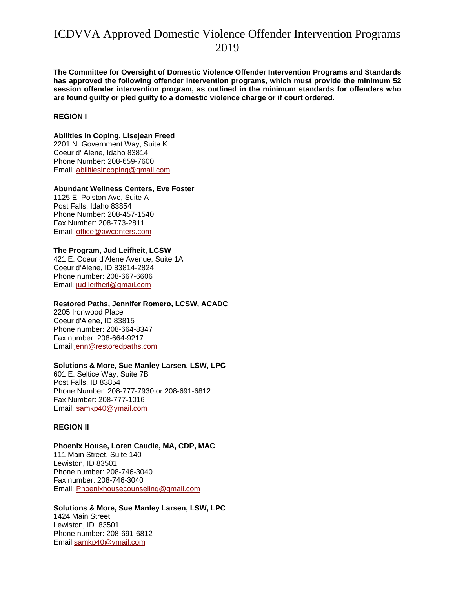**The Committee for Oversight of Domestic Violence Offender Intervention Programs and Standards has approved the following offender intervention programs, which must provide the minimum 52 session offender intervention program, as outlined in the minimum standards for offenders who are found guilty or pled guilty to a domestic violence charge or if court ordered.** 

#### **REGION I**

**Abilities In Coping, Lisejean Freed**  2201 N. Government Way, Suite K Coeur d' Alene, Idaho 83814 Phone Number: 208-659-7600 Email: abilitiesincoping@gmail.com

#### **Abundant Wellness Centers, Eve Foster**

1125 E. Polston Ave, Suite A Post Falls, Idaho 83854 Phone Number: 208-457-1540 Fax Number: 208-773-2811 Email: office@awcenters.com

#### **The Program, Jud Leifheit, LCSW**

421 E. Coeur d'Alene Avenue, Suite 1A Coeur d'Alene, ID 83814-2824 Phone number: 208-667-6606 Email: jud.leifheit@gmail.com

#### **Restored Paths, Jennifer Romero, LCSW, ACADC**

2205 Ironwood Place Coeur d'Alene, ID 83815 Phone number: 208-664-8347 Fax number: 208-664-9217 Email:jenn@restoredpaths.com

#### **Solutions & More, Sue Manley Larsen, LSW, LPC**

601 E. Seltice Way, Suite 7B Post Falls, ID 83854 Phone Number: 208-777-7930 or 208-691-6812 Fax Number: 208-777-1016 Email: samkp40@ymail.com

#### **REGION II**

## **Phoenix House, Loren Caudle, MA, CDP, MAC**

111 Main Street, Suite 140 Lewiston, ID 83501 Phone number: 208-746-3040 Fax number: 208-746-3040 Email: Phoenixhousecounseling@gmail.com

#### **Solutions & More, Sue Manley Larsen, LSW, LPC** 1424 Main Street Lewiston, ID 83501 Phone number: 208-691-6812 Email samkp40@ymail.com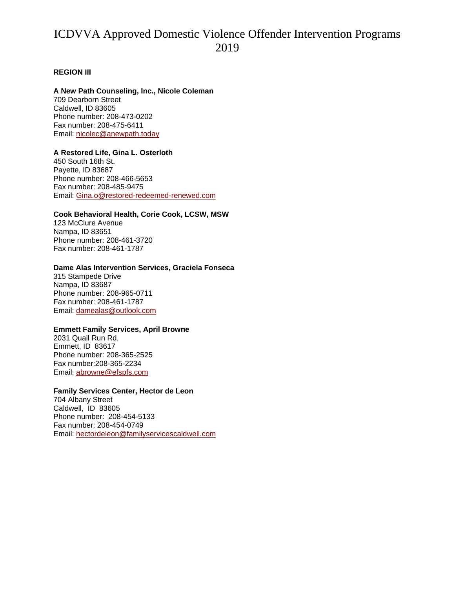### **REGION III**

#### **A New Path Counseling, Inc., Nicole Coleman**

709 Dearborn Street Caldwell, ID 83605 Phone number: 208-473-0202 Fax number: 208-475-6411 Email: nicolec@anewpath.today

## **A Restored Life, Gina L. Osterloth**

450 South 16th St. Payette, ID 83687 Phone number: 208-466-5653 Fax number: 208-485-9475 Email: Gina.o@restored-redeemed-renewed.com

## **Cook Behavioral Health, Corie Cook, LCSW, MSW**

123 McClure Avenue Nampa, ID 83651 Phone number: 208-461-3720 Fax number: 208-461-1787

## **Dame Alas Intervention Services, Graciela Fonseca**

315 Stampede Drive Nampa, ID 83687 Phone number: 208-965-0711 Fax number: 208-461-1787 Email: damealas@outlook.com

#### **Emmett Family Services, April Browne**

2031 Quail Run Rd. Emmett, ID 83617 Phone number: 208-365-2525 Fax number:208-365-2234 Email: abrowne@efspfs.com

#### **Family Services Center, Hector de Leon**

704 Albany Street Caldwell, ID 83605 Phone number: 208-454-5133 Fax number: 208-454-0749 Email: hectordeleon@familyservicescaldwell.com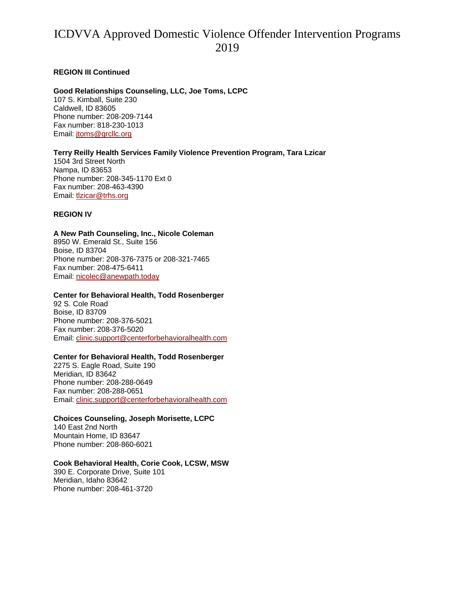#### **REGION III Continued**

### **Good Relationships Counseling, LLC, Joe Toms, LCPC**

107 S. Kimball, Suite 230 Caldwell, ID 83605 Phone number: 208-209-7144 Fax number: 818-230-1013 Email: jtoms@grcllc.org

#### **Terry Reilly Health Services Family Violence Prevention Program, Tara Lzicar**

1504 3rd Street North Nampa, ID 83653 Phone number: 208-345-1170 Ext 0 Fax number: 208-463-4390 Email: tlzicar@trhs.org

### **REGION IV**

#### **A New Path Counseling, Inc., Nicole Coleman**

8950 W. Emerald St., Suite 156 Boise, ID 83704 Phone number: 208-376-7375 or 208-321-7465 Fax number: 208-475-6411 Email: nicolec@anewpath.today

#### **Center for Behavioral Health, Todd Rosenberger**

92 S. Cole Road Boise, ID 83709 Phone number: 208-376-5021 Fax number: 208-376-5020 Email: clinic.support@centerforbehavioralhealth.com

#### **Center for Behavioral Health, Todd Rosenberger**

2275 S. Eagle Road, Suite 190 Meridian, ID 83642 Phone number: 208-288-0649 Fax number: 208-288-0651 Email: clinic.support@centerforbehavioralhealth.com

#### **Choices Counseling, Joseph Morisette, LCPC**

140 East 2nd North Mountain Home, ID 83647 Phone number: 208-860-6021

#### **Cook Behavioral Health, Corie Cook, LCSW, MSW**

390 E. Corporate Drive, Suite 101 Meridian, Idaho 83642 Phone number: 208-461-3720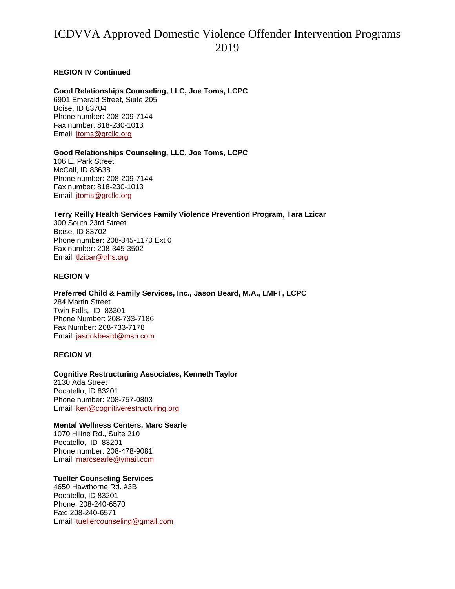### **REGION IV Continued**

## **Good Relationships Counseling, LLC, Joe Toms, LCPC**

6901 Emerald Street, Suite 205 Boise, ID 83704 Phone number: 208-209-7144 Fax number: 818-230-1013 Email: jtoms@grcllc.org

## **Good Relationships Counseling, LLC, Joe Toms, LCPC**

106 E. Park Street McCall, ID 83638 Phone number: 208-209-7144 Fax number: 818-230-1013 Email: jtoms@grcllc.org

# **Terry Reilly Health Services Family Violence Prevention Program, Tara Lzicar**

300 South 23rd Street Boise, ID 83702 Phone number: 208-345-1170 Ext 0 Fax number: 208-345-3502 Email: tlzicar@trhs.org

## **REGION V**

**Preferred Child & Family Services, Inc., Jason Beard, M.A., LMFT, LCPC**  284 Martin Street Twin Falls, ID 83301 Phone Number: 208-733-7186 Fax Number: 208-733-7178 Email: jasonkbeard@msn.com

#### **REGION VI**

### **Cognitive Restructuring Associates, Kenneth Taylor**  2130 Ada Street Pocatello, ID 83201 Phone number: 208-757-0803 Email: ken@cognitiverestructuring.org

#### **Mental Wellness Centers, Marc Searle**

1070 Hiline Rd., Suite 210 Pocatello, ID 83201 Phone number: 208-478-9081 Email: marcsearle@ymail.com

# **Tueller Counseling Services**

4650 Hawthorne Rd. #3B Pocatello, ID 83201 Phone: 208-240-6570 Fax: 208-240-6571 Email: tuellercounseling@gmail.com